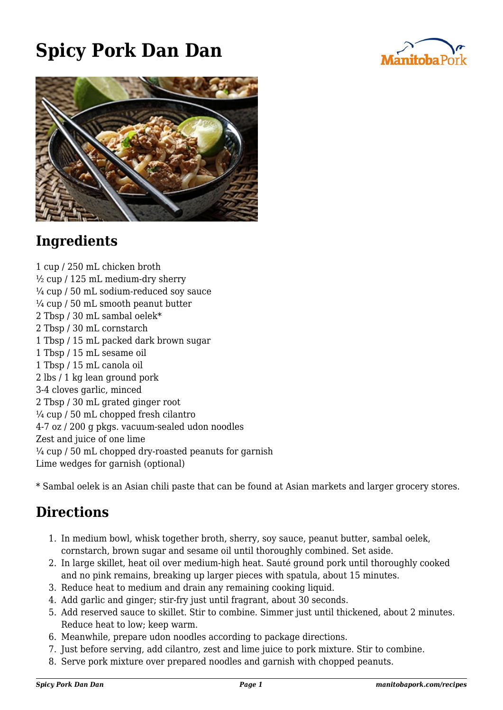## **Spicy Pork Dan Dan**





## **Ingredients**

1 cup / 250 mL chicken broth  $\frac{1}{2}$  cup / 125 mL medium-dry sherry  $\frac{1}{4}$  cup / 50 mL sodium-reduced soy sauce  $\frac{1}{4}$  cup / 50 mL smooth peanut butter 2 Tbsp / 30 mL sambal oelek\* 2 Tbsp / 30 mL cornstarch 1 Tbsp / 15 mL packed dark brown sugar 1 Tbsp / 15 mL sesame oil 1 Tbsp / 15 mL canola oil 2 lbs / 1 kg lean ground pork 3-4 cloves garlic, minced 2 Tbsp / 30 mL grated ginger root  $\frac{1}{4}$  cup / 50 mL chopped fresh cilantro 4-7 oz / 200 g pkgs. vacuum-sealed udon noodles Zest and juice of one lime ¼ cup / 50 mL chopped dry-roasted peanuts for garnish Lime wedges for garnish (optional)

\* Sambal oelek is an Asian chili paste that can be found at Asian markets and larger grocery stores.

## **Directions**

- 1. In medium bowl, whisk together broth, sherry, soy sauce, peanut butter, sambal oelek, cornstarch, brown sugar and sesame oil until thoroughly combined. Set aside.
- 2. In large skillet, heat oil over medium-high heat. Sauté ground pork until thoroughly cooked and no pink remains, breaking up larger pieces with spatula, about 15 minutes.
- 3. Reduce heat to medium and drain any remaining cooking liquid.
- 4. Add garlic and ginger; stir-fry just until fragrant, about 30 seconds.
- 5. Add reserved sauce to skillet. Stir to combine. Simmer just until thickened, about 2 minutes. Reduce heat to low; keep warm.
- 6. Meanwhile, prepare udon noodles according to package directions.
- 7. Just before serving, add cilantro, zest and lime juice to pork mixture. Stir to combine.
- 8. Serve pork mixture over prepared noodles and garnish with chopped peanuts.